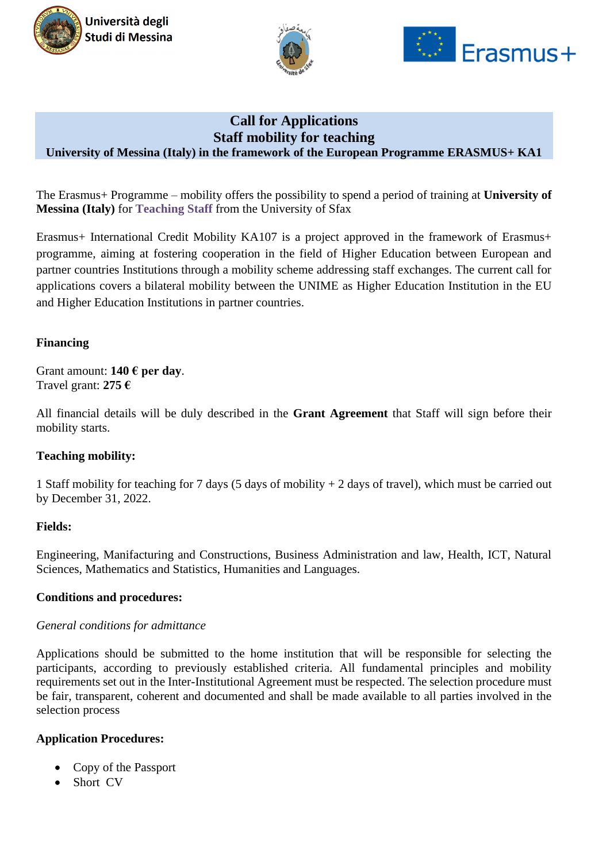





# **Call for Applications Staff mobility for teaching University of Messina (Italy) in the framework of the European Programme ERASMUS+ KA1**

The Erasmus+ Programme – mobility offers the possibility to spend a period of training at **University of Messina (Italy)** for **Teaching Staff** from the University of Sfax

Erasmus+ International Credit Mobility KA107 is a project approved in the framework of Erasmus+ programme, aiming at fostering cooperation in the field of Higher Education between European and partner countries Institutions through a mobility scheme addressing staff exchanges. The current call for applications covers a bilateral mobility between the UNIME as Higher Education Institution in the EU and Higher Education Institutions in partner countries.

### **Financing**

Grant amount: **140 € per day**. Travel grant: **275 €**

All financial details will be duly described in the **Grant Agreement** that Staff will sign before their mobility starts.

# **Teaching mobility:**

1 Staff mobility for teaching for 7 days (5 days of mobility + 2 days of travel), which must be carried out by December 31, 2022.

#### **Fields:**

Engineering, Manifacturing and Constructions, Business Administration and law, Health, ICT, Natural Sciences, Mathematics and Statistics, Humanities and Languages.

#### **Conditions and procedures:**

#### *General conditions for admittance*

Applications should be submitted to the home institution that will be responsible for selecting the participants, according to previously established criteria. All fundamental principles and mobility requirements set out in the Inter-Institutional Agreement must be respected. The selection procedure must be fair, transparent, coherent and documented and shall be made available to all parties involved in the selection process

#### **Application Procedures:**

- Copy of the Passport
- Short CV